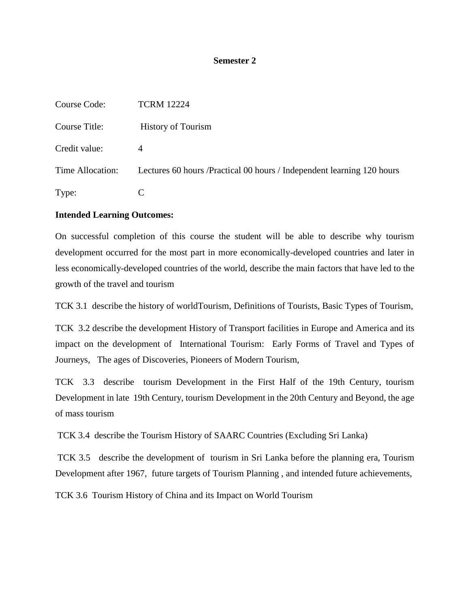## **Semester 2**

| Course Code:     | <b>TCRM 12224</b>                                                       |
|------------------|-------------------------------------------------------------------------|
| Course Title:    | <b>History of Tourism</b>                                               |
| Credit value:    | 4                                                                       |
| Time Allocation: | Lectures 60 hours / Practical 00 hours / Independent learning 120 hours |
| Type:            |                                                                         |

# **Intended Learning Outcomes:**

On successful completion of this course the student will be able to describe why tourism development occurred for the most part in more economically-developed countries and later in less economically-developed countries of the world, describe the main factors that have led to the growth of the travel and tourism

TCK 3.1 describe the history of worldTourism, Definitions of Tourists, Basic Types of Tourism,

TCK 3.2 describe the development History of Transport facilities in Europe and America and its impact on the development of International Tourism: Early Forms of Travel and Types of Journeys, The ages of Discoveries, Pioneers of Modern Tourism,

TCK 3.3 describe tourism Development in the First Half of the 19th Century, tourism Development in late 19th Century, tourism Development in the 20th Century and Beyond, the age of mass tourism

TCK 3.4 describe the Tourism History of SAARC Countries (Excluding Sri Lanka)

TCK 3.5 describe the development of tourism in Sri Lanka before the planning era, Tourism Development after 1967, future targets of Tourism Planning , and intended future achievements,

TCK 3.6 Tourism History of China and its Impact on World Tourism